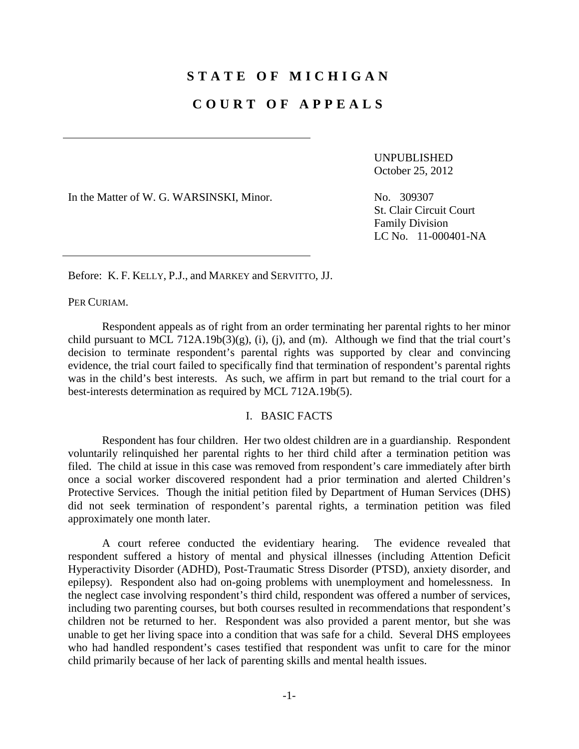# **STATE OF MICHIGAN**

## **COURT OF APPEALS**

UNPUBLISHED October 25, 2012

In the Matter of W. G. WARSINSKI, Minor. No. 309307

St. Clair Circuit Court Family Division LC No. 11-000401-NA

Before: K. F. KELLY, P.J., and MARKEY and SERVITTO, JJ.

PER CURIAM.

 Respondent appeals as of right from an order terminating her parental rights to her minor child pursuant to MCL 712A.19b(3)(g), (i), (j), and (m). Although we find that the trial court's decision to terminate respondent's parental rights was supported by clear and convincing evidence, the trial court failed to specifically find that termination of respondent's parental rights was in the child's best interests. As such, we affirm in part but remand to the trial court for a best-interests determination as required by MCL 712A.19b(5).

## I. BASIC FACTS

 Respondent has four children. Her two oldest children are in a guardianship. Respondent voluntarily relinquished her parental rights to her third child after a termination petition was filed. The child at issue in this case was removed from respondent's care immediately after birth once a social worker discovered respondent had a prior termination and alerted Children's Protective Services. Though the initial petition filed by Department of Human Services (DHS) did not seek termination of respondent's parental rights, a termination petition was filed approximately one month later.

 A court referee conducted the evidentiary hearing. The evidence revealed that respondent suffered a history of mental and physical illnesses (including Attention Deficit Hyperactivity Disorder (ADHD), Post-Traumatic Stress Disorder (PTSD), anxiety disorder, and epilepsy). Respondent also had on-going problems with unemployment and homelessness. In the neglect case involving respondent's third child, respondent was offered a number of services, including two parenting courses, but both courses resulted in recommendations that respondent's children not be returned to her. Respondent was also provided a parent mentor, but she was unable to get her living space into a condition that was safe for a child. Several DHS employees who had handled respondent's cases testified that respondent was unfit to care for the minor child primarily because of her lack of parenting skills and mental health issues.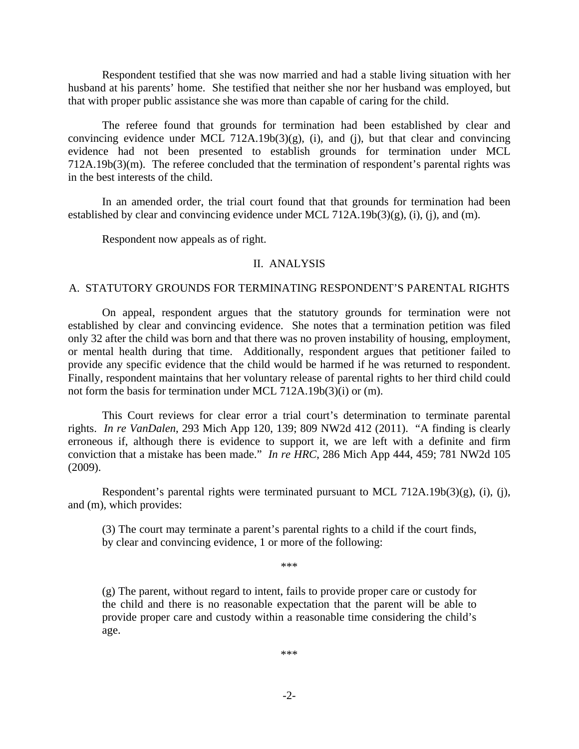Respondent testified that she was now married and had a stable living situation with her husband at his parents' home. She testified that neither she nor her husband was employed, but that with proper public assistance she was more than capable of caring for the child.

 The referee found that grounds for termination had been established by clear and convincing evidence under MCL 712A.19b(3)(g), (i), and (j), but that clear and convincing evidence had not been presented to establish grounds for termination under MCL 712A.19b(3)(m). The referee concluded that the termination of respondent's parental rights was in the best interests of the child.

 In an amended order, the trial court found that that grounds for termination had been established by clear and convincing evidence under MCL 712A.19b(3)(g), (i), (i), and (m).

Respondent now appeals as of right.

#### II. ANALYSIS

#### A. STATUTORY GROUNDS FOR TERMINATING RESPONDENT'S PARENTAL RIGHTS

 On appeal, respondent argues that the statutory grounds for termination were not established by clear and convincing evidence. She notes that a termination petition was filed only 32 after the child was born and that there was no proven instability of housing, employment, or mental health during that time. Additionally, respondent argues that petitioner failed to provide any specific evidence that the child would be harmed if he was returned to respondent. Finally, respondent maintains that her voluntary release of parental rights to her third child could not form the basis for termination under MCL 712A.19b(3)(i) or (m).

 This Court reviews for clear error a trial court's determination to terminate parental rights. *In re VanDalen*, 293 Mich App 120, 139; 809 NW2d 412 (2011). "A finding is clearly erroneous if, although there is evidence to support it, we are left with a definite and firm conviction that a mistake has been made." *In re HRC*, 286 Mich App 444, 459; 781 NW2d 105 (2009).

 Respondent's parental rights were terminated pursuant to MCL 712A.19b(3)(g), (i), (j), and (m), which provides:

(3) The court may terminate a parent's parental rights to a child if the court finds, by clear and convincing evidence, 1 or more of the following:

\*\*\*

(g) The parent, without regard to intent, fails to provide proper care or custody for the child and there is no reasonable expectation that the parent will be able to provide proper care and custody within a reasonable time considering the child's age.

\*\*\*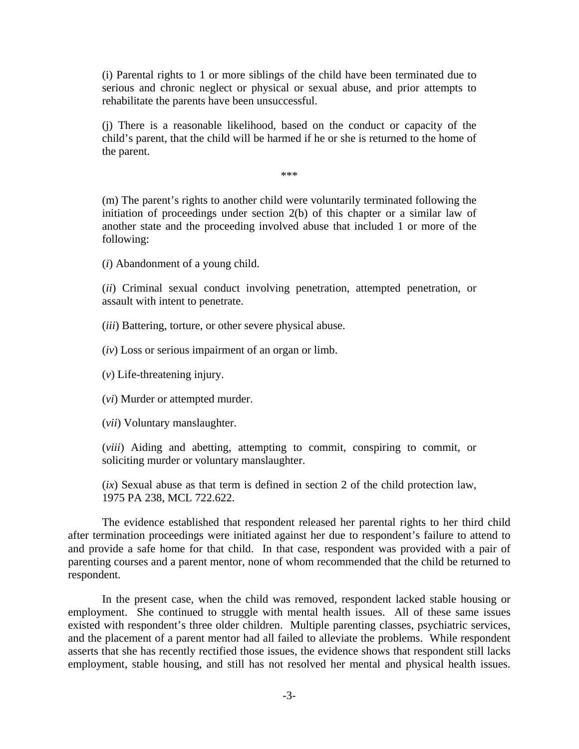(i) Parental rights to 1 or more siblings of the child have been terminated due to serious and chronic neglect or physical or sexual abuse, and prior attempts to rehabilitate the parents have been unsuccessful.

(j) There is a reasonable likelihood, based on the conduct or capacity of the child's parent, that the child will be harmed if he or she is returned to the home of the parent.

\*\*\*

(m) The parent's rights to another child were voluntarily terminated following the initiation of proceedings under section 2(b) of this chapter or a similar law of another state and the proceeding involved abuse that included 1 or more of the following:

(*i*) Abandonment of a young child.

(*ii*) Criminal sexual conduct involving penetration, attempted penetration, or assault with intent to penetrate.

(*iii*) Battering, torture, or other severe physical abuse.

(*iv*) Loss or serious impairment of an organ or limb.

(*v*) Life-threatening injury.

(*vi*) Murder or attempted murder.

(*vii*) Voluntary manslaughter.

(*viii*) Aiding and abetting, attempting to commit, conspiring to commit, or soliciting murder or voluntary manslaughter.

(*ix*) Sexual abuse as that term is defined in section 2 of the child protection law, 1975 PA 238, MCL 722.622.

 The evidence established that respondent released her parental rights to her third child after termination proceedings were initiated against her due to respondent's failure to attend to and provide a safe home for that child. In that case, respondent was provided with a pair of parenting courses and a parent mentor, none of whom recommended that the child be returned to respondent.

 In the present case, when the child was removed, respondent lacked stable housing or employment. She continued to struggle with mental health issues. All of these same issues existed with respondent's three older children. Multiple parenting classes, psychiatric services, and the placement of a parent mentor had all failed to alleviate the problems. While respondent asserts that she has recently rectified those issues, the evidence shows that respondent still lacks employment, stable housing, and still has not resolved her mental and physical health issues.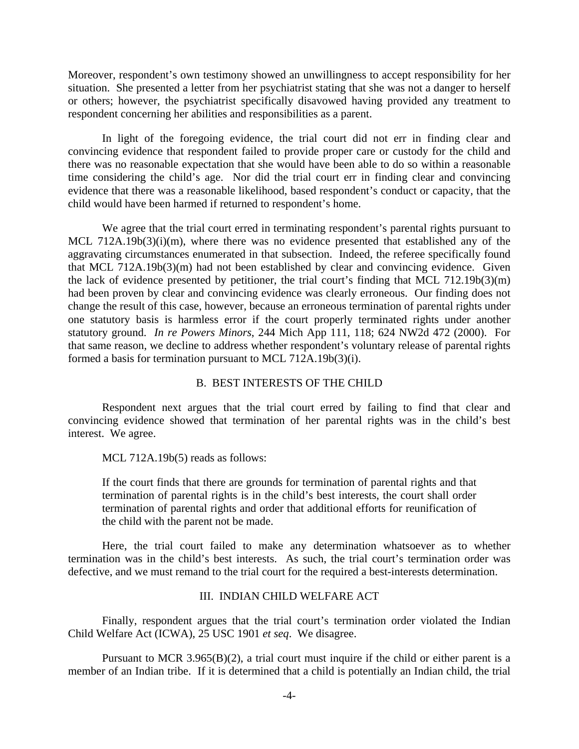Moreover, respondent's own testimony showed an unwillingness to accept responsibility for her situation. She presented a letter from her psychiatrist stating that she was not a danger to herself or others; however, the psychiatrist specifically disavowed having provided any treatment to respondent concerning her abilities and responsibilities as a parent.

 In light of the foregoing evidence, the trial court did not err in finding clear and convincing evidence that respondent failed to provide proper care or custody for the child and there was no reasonable expectation that she would have been able to do so within a reasonable time considering the child's age. Nor did the trial court err in finding clear and convincing evidence that there was a reasonable likelihood, based respondent's conduct or capacity, that the child would have been harmed if returned to respondent's home.

We agree that the trial court erred in terminating respondent's parental rights pursuant to MCL 712A.19b(3)(i)(m), where there was no evidence presented that established any of the aggravating circumstances enumerated in that subsection. Indeed, the referee specifically found that MCL 712A.19b(3)(m) had not been established by clear and convincing evidence. Given the lack of evidence presented by petitioner, the trial court's finding that MCL 712.19b(3)(m) had been proven by clear and convincing evidence was clearly erroneous. Our finding does not change the result of this case, however, because an erroneous termination of parental rights under one statutory basis is harmless error if the court properly terminated rights under another statutory ground. *In re Powers Minors*, 244 Mich App 111, 118; 624 NW2d 472 (2000). For that same reason, we decline to address whether respondent's voluntary release of parental rights formed a basis for termination pursuant to MCL 712A.19b(3)(i).

### B. BEST INTERESTS OF THE CHILD

 Respondent next argues that the trial court erred by failing to find that clear and convincing evidence showed that termination of her parental rights was in the child's best interest. We agree.

MCL 712A.19b(5) reads as follows:

If the court finds that there are grounds for termination of parental rights and that termination of parental rights is in the child's best interests, the court shall order termination of parental rights and order that additional efforts for reunification of the child with the parent not be made.

 Here, the trial court failed to make any determination whatsoever as to whether termination was in the child's best interests. As such, the trial court's termination order was defective, and we must remand to the trial court for the required a best-interests determination.

## III. INDIAN CHILD WELFARE ACT

 Finally, respondent argues that the trial court's termination order violated the Indian Child Welfare Act (ICWA), 25 USC 1901 *et seq*. We disagree.

Pursuant to MCR 3.965 $(B)(2)$ , a trial court must inquire if the child or either parent is a member of an Indian tribe. If it is determined that a child is potentially an Indian child, the trial